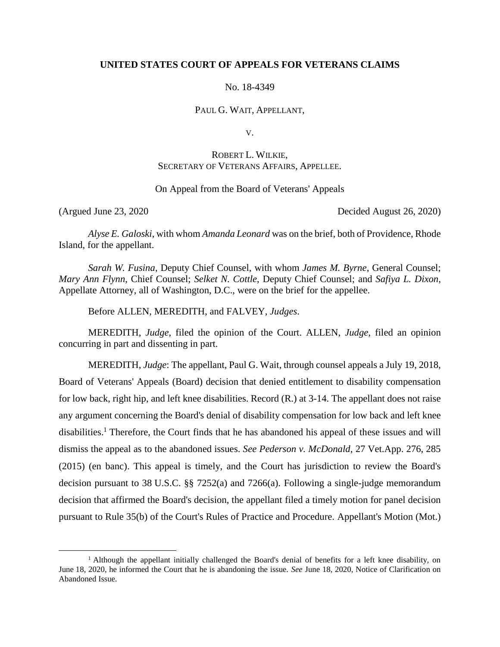## **UNITED STATES COURT OF APPEALS FOR VETERANS CLAIMS**

No. 18-4349

PAUL G. WAIT, APPELLANT,

V.

# ROBERT L. WILKIE, SECRETARY OF VETERANS AFFAIRS, APPELLEE.

## On Appeal from the Board of Veterans' Appeals

 $\overline{a}$ 

(Argued June 23, 2020 Decided August 26, 2020)

*Alyse E. Galoski*, with whom *Amanda Leonard* was on the brief, both of Providence, Rhode Island, for the appellant.

*Sarah W. Fusina*, Deputy Chief Counsel, with whom *James M. Byrne*, General Counsel; *Mary Ann Flynn*, Chief Counsel; *Selket N. Cottle*, Deputy Chief Counsel; and *Safiya L. Dixon*, Appellate Attorney, all of Washington, D.C., were on the brief for the appellee.

Before ALLEN, MEREDITH, and FALVEY, *Judges*.

MEREDITH, *Judge*, filed the opinion of the Court. ALLEN, *Judge*, filed an opinion concurring in part and dissenting in part.

MEREDITH, *Judge*: The appellant, Paul G. Wait, through counsel appeals a July 19, 2018, Board of Veterans' Appeals (Board) decision that denied entitlement to disability compensation for low back, right hip, and left knee disabilities. Record (R.) at 3-14. The appellant does not raise any argument concerning the Board's denial of disability compensation for low back and left knee disabilities.<sup>1</sup> Therefore, the Court finds that he has abandoned his appeal of these issues and will dismiss the appeal as to the abandoned issues. *See Pederson v. McDonald*, 27 Vet.App. 276, 285 (2015) (en banc). This appeal is timely, and the Court has jurisdiction to review the Board's decision pursuant to 38 U.S.C. §§ 7252(a) and 7266(a). Following a single-judge memorandum decision that affirmed the Board's decision, the appellant filed a timely motion for panel decision pursuant to Rule 35(b) of the Court's Rules of Practice and Procedure. Appellant's Motion (Mot.)

<sup>1</sup> Although the appellant initially challenged the Board's denial of benefits for a left knee disability, on June 18, 2020, he informed the Court that he is abandoning the issue. *See* June 18, 2020, Notice of Clarification on Abandoned Issue.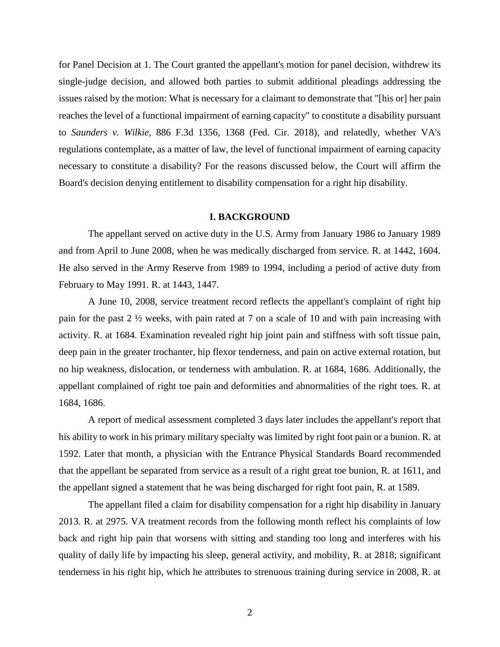for Panel Decision at 1. The Court granted the appellant's motion for panel decision, withdrew its single-judge decision, and allowed both parties to submit additional pleadings addressing the issues raised by the motion: What is necessary for a claimant to demonstrate that "[his or] her pain reaches the level of a functional impairment of earning capacity" to constitute a disability pursuant to *Saunders v. Wilkie*, 886 F.3d 1356, 1368 (Fed. Cir. 2018), and relatedly, whether VA's regulations contemplate, as a matter of law, the level of functional impairment of earning capacity necessary to constitute a disability? For the reasons discussed below, the Court will affirm the Board's decision denying entitlement to disability compensation for a right hip disability.

### **I. BACKGROUND**

The appellant served on active duty in the U.S. Army from January 1986 to January 1989 and from April to June 2008, when he was medically discharged from service. R. at 1442, 1604. He also served in the Army Reserve from 1989 to 1994, including a period of active duty from February to May 1991. R. at 1443, 1447.

A June 10, 2008, service treatment record reflects the appellant's complaint of right hip pain for the past 2 ½ weeks, with pain rated at 7 on a scale of 10 and with pain increasing with activity. R. at 1684. Examination revealed right hip joint pain and stiffness with soft tissue pain, deep pain in the greater trochanter, hip flexor tenderness, and pain on active external rotation, but no hip weakness, dislocation, or tenderness with ambulation. R. at 1684, 1686. Additionally, the appellant complained of right toe pain and deformities and abnormalities of the right toes. R. at 1684, 1686.

A report of medical assessment completed 3 days later includes the appellant's report that his ability to work in his primary military specialty was limited by right foot pain or a bunion. R. at 1592. Later that month, a physician with the Entrance Physical Standards Board recommended that the appellant be separated from service as a result of a right great toe bunion, R. at 1611, and the appellant signed a statement that he was being discharged for right foot pain, R. at 1589.

The appellant filed a claim for disability compensation for a right hip disability in January 2013. R. at 2975. VA treatment records from the following month reflect his complaints of low back and right hip pain that worsens with sitting and standing too long and interferes with his quality of daily life by impacting his sleep, general activity, and mobility, R. at 2818; significant tenderness in his right hip, which he attributes to strenuous training during service in 2008, R. at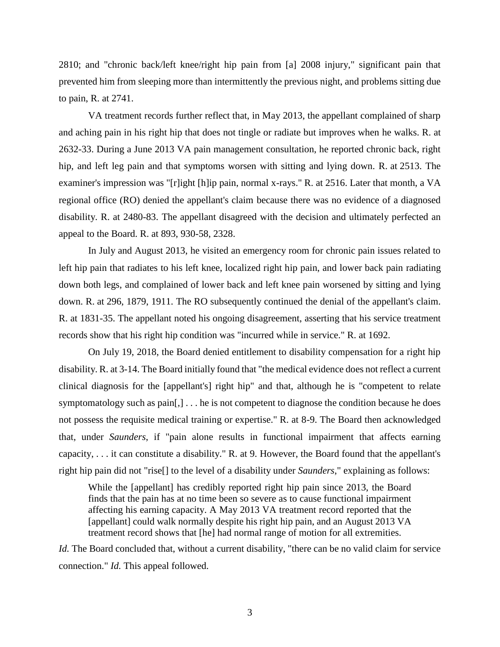2810; and "chronic back/left knee/right hip pain from [a] 2008 injury," significant pain that prevented him from sleeping more than intermittently the previous night, and problems sitting due to pain, R. at 2741.

VA treatment records further reflect that, in May 2013, the appellant complained of sharp and aching pain in his right hip that does not tingle or radiate but improves when he walks. R. at 2632-33. During a June 2013 VA pain management consultation, he reported chronic back, right hip, and left leg pain and that symptoms worsen with sitting and lying down. R. at 2513. The examiner's impression was "[r]ight [h]ip pain, normal x-rays." R. at 2516. Later that month, a VA regional office (RO) denied the appellant's claim because there was no evidence of a diagnosed disability. R. at 2480-83. The appellant disagreed with the decision and ultimately perfected an appeal to the Board. R. at 893, 930-58, 2328.

In July and August 2013, he visited an emergency room for chronic pain issues related to left hip pain that radiates to his left knee, localized right hip pain, and lower back pain radiating down both legs, and complained of lower back and left knee pain worsened by sitting and lying down. R. at 296, 1879, 1911. The RO subsequently continued the denial of the appellant's claim. R. at 1831-35. The appellant noted his ongoing disagreement, asserting that his service treatment records show that his right hip condition was "incurred while in service." R. at 1692.

On July 19, 2018, the Board denied entitlement to disability compensation for a right hip disability. R. at 3-14. The Board initially found that "the medical evidence does not reflect a current clinical diagnosis for the [appellant's] right hip" and that, although he is "competent to relate symptomatology such as pain[,] . . . he is not competent to diagnose the condition because he does not possess the requisite medical training or expertise." R. at 8-9. The Board then acknowledged that, under *Saunders*, if "pain alone results in functional impairment that affects earning capacity, . . . it can constitute a disability." R. at 9. However, the Board found that the appellant's right hip pain did not "rise[] to the level of a disability under *Saunders*," explaining as follows:

While the [appellant] has credibly reported right hip pain since 2013, the Board finds that the pain has at no time been so severe as to cause functional impairment affecting his earning capacity. A May 2013 VA treatment record reported that the [appellant] could walk normally despite his right hip pain, and an August 2013 VA treatment record shows that [he] had normal range of motion for all extremities.

*Id.* The Board concluded that, without a current disability, "there can be no valid claim for service connection." *Id.* This appeal followed.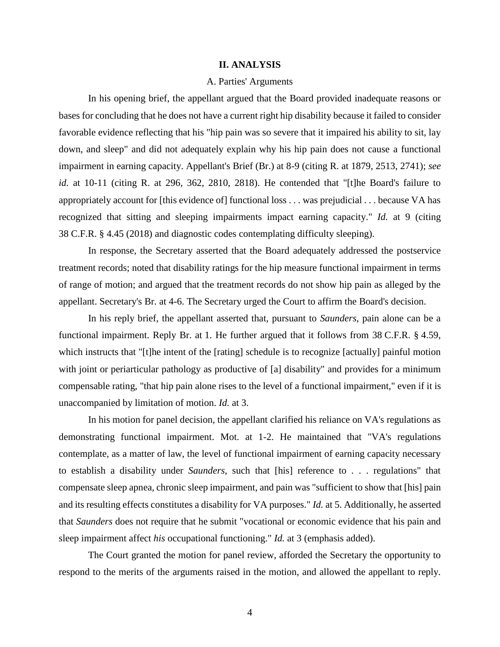### **II. ANALYSIS**

## A. Parties' Arguments

In his opening brief, the appellant argued that the Board provided inadequate reasons or bases for concluding that he does not have a current right hip disability because it failed to consider favorable evidence reflecting that his "hip pain was so severe that it impaired his ability to sit, lay down, and sleep" and did not adequately explain why his hip pain does not cause a functional impairment in earning capacity. Appellant's Brief (Br.) at 8-9 (citing R. at 1879, 2513, 2741); *see id.* at 10-11 (citing R. at 296, 362, 2810, 2818). He contended that "[t]he Board's failure to appropriately account for [this evidence of] functional loss . . . was prejudicial . . . because VA has recognized that sitting and sleeping impairments impact earning capacity." *Id.* at 9 (citing 38 C.F.R. § 4.45 (2018) and diagnostic codes contemplating difficulty sleeping).

In response, the Secretary asserted that the Board adequately addressed the postservice treatment records; noted that disability ratings for the hip measure functional impairment in terms of range of motion; and argued that the treatment records do not show hip pain as alleged by the appellant. Secretary's Br. at 4-6. The Secretary urged the Court to affirm the Board's decision.

In his reply brief, the appellant asserted that, pursuant to *Saunders*, pain alone can be a functional impairment. Reply Br. at 1. He further argued that it follows from 38 C.F.R. § 4.59, which instructs that "[t]he intent of the [rating] schedule is to recognize [actually] painful motion with joint or periarticular pathology as productive of [a] disability" and provides for a minimum compensable rating, "that hip pain alone rises to the level of a functional impairment," even if it is unaccompanied by limitation of motion. *Id.* at 3.

In his motion for panel decision, the appellant clarified his reliance on VA's regulations as demonstrating functional impairment. Mot. at 1-2. He maintained that "VA's regulations contemplate, as a matter of law, the level of functional impairment of earning capacity necessary to establish a disability under *Saunders*, such that [his] reference to . . . regulations" that compensate sleep apnea, chronic sleep impairment, and pain was "sufficient to show that [his] pain and its resulting effects constitutes a disability for VA purposes." *Id.* at 5. Additionally, he asserted that *Saunders* does not require that he submit "vocational or economic evidence that his pain and sleep impairment affect *his* occupational functioning." *Id.* at 3 (emphasis added).

The Court granted the motion for panel review, afforded the Secretary the opportunity to respond to the merits of the arguments raised in the motion, and allowed the appellant to reply.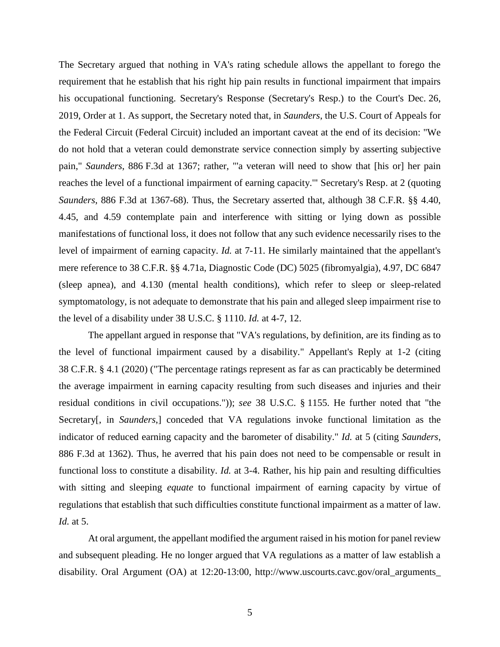The Secretary argued that nothing in VA's rating schedule allows the appellant to forego the requirement that he establish that his right hip pain results in functional impairment that impairs his occupational functioning. Secretary's Response (Secretary's Resp.) to the Court's Dec. 26, 2019, Order at 1. As support, the Secretary noted that, in *Saunders*, the U.S. Court of Appeals for the Federal Circuit (Federal Circuit) included an important caveat at the end of its decision: "We do not hold that a veteran could demonstrate service connection simply by asserting subjective pain," *Saunders*, 886 F.3d at 1367; rather, "'a veteran will need to show that [his or] her pain reaches the level of a functional impairment of earning capacity.'" Secretary's Resp. at 2 (quoting *Saunders*, 886 F.3d at 1367-68). Thus, the Secretary asserted that, although 38 C.F.R. §§ 4.40, 4.45, and 4.59 contemplate pain and interference with sitting or lying down as possible manifestations of functional loss, it does not follow that any such evidence necessarily rises to the level of impairment of earning capacity. *Id.* at 7-11. He similarly maintained that the appellant's mere reference to 38 C.F.R. §§ 4.71a, Diagnostic Code (DC) 5025 (fibromyalgia), 4.97, DC 6847 (sleep apnea), and 4.130 (mental health conditions), which refer to sleep or sleep-related symptomatology, is not adequate to demonstrate that his pain and alleged sleep impairment rise to the level of a disability under 38 U.S.C. § 1110. *Id.* at 4-7, 12.

The appellant argued in response that "VA's regulations, by definition, are its finding as to the level of functional impairment caused by a disability." Appellant's Reply at 1-2 (citing 38 C.F.R. § 4.1 (2020) ("The percentage ratings represent as far as can practicably be determined the average impairment in earning capacity resulting from such diseases and injuries and their residual conditions in civil occupations.")); *see* 38 U.S.C. § 1155. He further noted that "the Secretary[, in *Saunders*,] conceded that VA regulations invoke functional limitation as the indicator of reduced earning capacity and the barometer of disability." *Id.* at 5 (citing *Saunders*, 886 F.3d at 1362). Thus, he averred that his pain does not need to be compensable or result in functional loss to constitute a disability. *Id.* at 3-4. Rather, his hip pain and resulting difficulties with sitting and sleeping *equate* to functional impairment of earning capacity by virtue of regulations that establish that such difficulties constitute functional impairment as a matter of law. *Id.* at 5.

At oral argument, the appellant modified the argument raised in his motion for panel review and subsequent pleading. He no longer argued that VA regulations as a matter of law establish a disability. Oral Argument (OA) at 12:20-13:00, [http://www.uscourts.cavc.gov/oral\\_arguments\\_](http://www.uscourts.cavc.gov/oral_arguments_audio.php)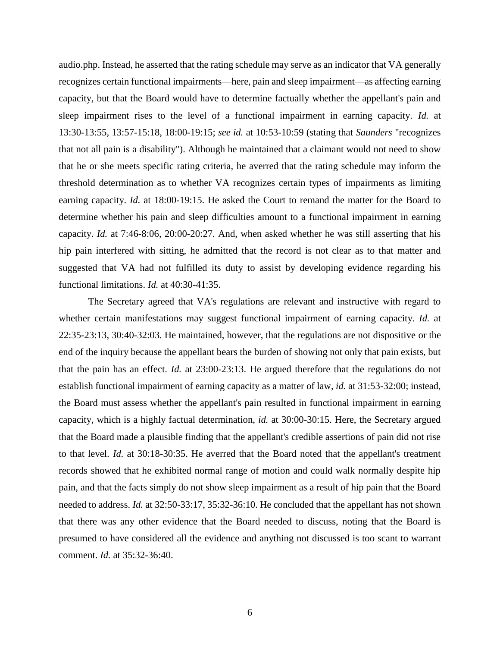[audio.php.](http://www.uscourts.cavc.gov/oral_arguments_audio.php) Instead, he asserted that the rating schedule may serve as an indicator that VA generally recognizes certain functional impairments—here, pain and sleep impairment—as affecting earning capacity, but that the Board would have to determine factually whether the appellant's pain and sleep impairment rises to the level of a functional impairment in earning capacity. *Id.* at 13:30-13:55, 13:57-15:18, 18:00-19:15; *see id.* at 10:53-10:59 (stating that *Saunders* "recognizes that not all pain is a disability"). Although he maintained that a claimant would not need to show that he or she meets specific rating criteria, he averred that the rating schedule may inform the threshold determination as to whether VA recognizes certain types of impairments as limiting earning capacity. *Id.* at 18:00-19:15. He asked the Court to remand the matter for the Board to determine whether his pain and sleep difficulties amount to a functional impairment in earning capacity. *Id.* at 7:46-8:06, 20:00-20:27. And, when asked whether he was still asserting that his hip pain interfered with sitting, he admitted that the record is not clear as to that matter and suggested that VA had not fulfilled its duty to assist by developing evidence regarding his functional limitations. *Id.* at 40:30-41:35.

The Secretary agreed that VA's regulations are relevant and instructive with regard to whether certain manifestations may suggest functional impairment of earning capacity. *Id.* at 22:35-23:13, 30:40-32:03. He maintained, however, that the regulations are not dispositive or the end of the inquiry because the appellant bears the burden of showing not only that pain exists, but that the pain has an effect. *Id.* at 23:00-23:13. He argued therefore that the regulations do not establish functional impairment of earning capacity as a matter of law, *id.* at 31:53-32:00; instead, the Board must assess whether the appellant's pain resulted in functional impairment in earning capacity, which is a highly factual determination, *id.* at 30:00-30:15. Here, the Secretary argued that the Board made a plausible finding that the appellant's credible assertions of pain did not rise to that level. *Id.* at 30:18-30:35. He averred that the Board noted that the appellant's treatment records showed that he exhibited normal range of motion and could walk normally despite hip pain, and that the facts simply do not show sleep impairment as a result of hip pain that the Board needed to address. *Id.* at 32:50-33:17, 35:32-36:10. He concluded that the appellant has not shown that there was any other evidence that the Board needed to discuss, noting that the Board is presumed to have considered all the evidence and anything not discussed is too scant to warrant comment. *Id.* at 35:32-36:40.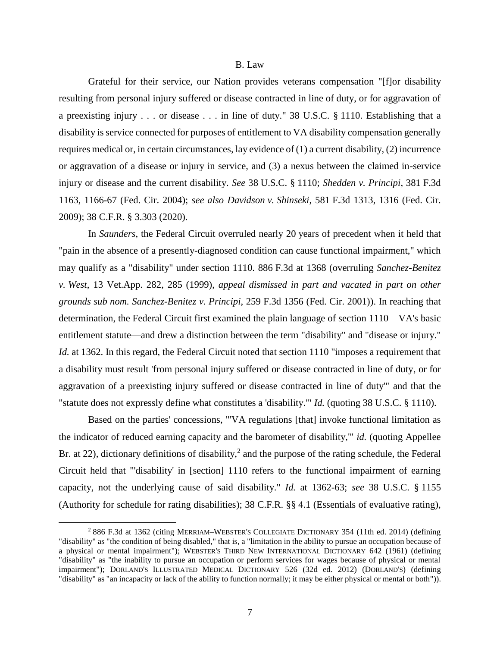#### B. Law

Grateful for their service, our Nation provides veterans compensation "[f]or disability resulting from personal injury suffered or disease contracted in line of duty, or for aggravation of a preexisting injury . . . or disease . . . in line of duty." 38 U.S.C. § 1110. Establishing that a disability is service connected for purposes of entitlement to VA disability compensation generally requires medical or, in certain circumstances, lay evidence of (1) a current disability, (2) incurrence or aggravation of a disease or injury in service, and (3) a nexus between the claimed in-service injury or disease and the current disability. *See* 38 U.S.C. § 1110; *Shedden v. Principi*, 381 F.3d 1163, 1166-67 (Fed. Cir. 2004); *see also Davidson v. Shinseki*, 581 F.3d 1313, 1316 (Fed. Cir. 2009); 38 C.F.R. § 3.303 (2020).

In *Saunders*, the Federal Circuit overruled nearly 20 years of precedent when it held that "pain in the absence of a presently-diagnosed condition can cause functional impairment," which may qualify as a "disability" under section 1110. 886 F.3d at 1368 (overruling *Sanchez-Benitez v. West*, 13 Vet.App. 282, 285 (1999), *appeal dismissed in part and vacated in part on other grounds sub nom. Sanchez-Benitez v. Principi*, 259 F.3d 1356 (Fed. Cir. 2001)). In reaching that determination, the Federal Circuit first examined the plain language of section 1110—VA's basic entitlement statute—and drew a distinction between the term "disability" and "disease or injury." *Id.* at 1362. In this regard, the Federal Circuit noted that section 1110 "imposes a requirement that a disability must result 'from personal injury suffered or disease contracted in line of duty, or for aggravation of a preexisting injury suffered or disease contracted in line of duty'" and that the "statute does not expressly define what constitutes a 'disability.'" *Id.* (quoting 38 U.S.C. § 1110).

Based on the parties' concessions, "'VA regulations [that] invoke functional limitation as the indicator of reduced earning capacity and the barometer of disability,'" *id.* (quoting Appellee Br. at 22), dictionary definitions of disability,<sup>2</sup> and the purpose of the rating schedule, the Federal Circuit held that "'disability' in [section] 1110 refers to the functional impairment of earning capacity, not the underlying cause of said disability." *Id.* at 1362-63; *see* 38 U.S.C. § 1155 (Authority for schedule for rating disabilities); 38 C.F.R. §§ 4.1 (Essentials of evaluative rating),

<sup>2</sup> 886 F.3d at 1362 (citing MERRIAM–WEBSTER'S COLLEGIATE DICTIONARY 354 (11th ed. 2014) (defining "disability" as "the condition of being disabled," that is, a "limitation in the ability to pursue an occupation because of a physical or mental impairment"); WEBSTER'S THIRD NEW INTERNATIONAL DICTIONARY 642 (1961) (defining "disability" as "the inability to pursue an occupation or perform services for wages because of physical or mental impairment"); DORLAND'S ILLUSTRATED MEDICAL DICTIONARY 526 (32d ed. 2012) (DORLAND'S) (defining "disability" as "an incapacity or lack of the ability to function normally; it may be either physical or mental or both")).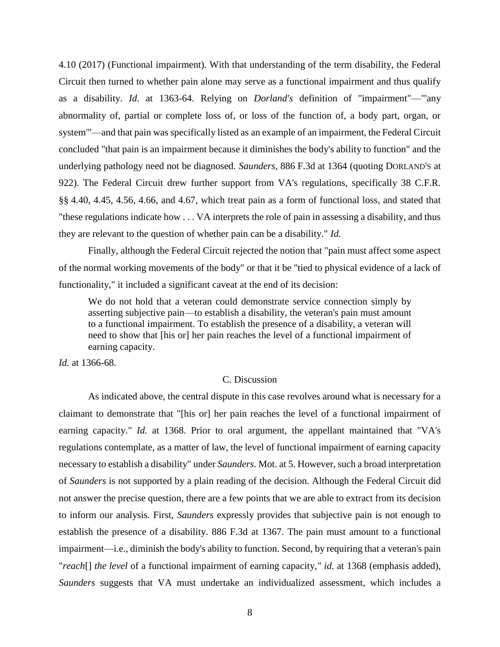4.10 (2017) (Functional impairment). With that understanding of the term disability, the Federal Circuit then turned to whether pain alone may serve as a functional impairment and thus qualify as a disability. *Id.* at 1363-64. Relying on *Dorland's* definition of "impairment"—"'any abnormality of, partial or complete loss of, or loss of the function of, a body part, organ, or system'"—and that pain was specifically listed as an example of an impairment, the Federal Circuit concluded "that pain is an impairment because it diminishes the body's ability to function" and the underlying pathology need not be diagnosed. *Saunders*, 886 F.3d at 1364 (quoting DORLAND'S at 922). The Federal Circuit drew further support from VA's regulations, specifically 38 C.F.R. §§ 4.40, 4.45, 4.56, 4.66, and 4.67, which treat pain as a form of functional loss, and stated that "these regulations indicate how . . . VA interprets the role of pain in assessing a disability, and thus they are relevant to the question of whether pain can be a disability." *Id.*

Finally, although the Federal Circuit rejected the notion that "pain must affect some aspect of the normal working movements of the body" or that it be "tied to physical evidence of a lack of functionality," it included a significant caveat at the end of its decision:

We do not hold that a veteran could demonstrate service connection simply by asserting subjective pain—to establish a disability, the veteran's pain must amount to a functional impairment. To establish the presence of a disability, a veteran will need to show that [his or] her pain reaches the level of a functional impairment of earning capacity.

*Id.* at 1366-68.

# C. Discussion

As indicated above, the central dispute in this case revolves around what is necessary for a claimant to demonstrate that "[his or] her pain reaches the level of a functional impairment of earning capacity." *Id.* at 1368. Prior to oral argument, the appellant maintained that "VA's regulations contemplate, as a matter of law, the level of functional impairment of earning capacity necessary to establish a disability" under *Saunders*. Mot. at 5. However, such a broad interpretation of *Saunders* is not supported by a plain reading of the decision. Although the Federal Circuit did not answer the precise question, there are a few points that we are able to extract from its decision to inform our analysis. First, *Saunders* expressly provides that subjective pain is not enough to establish the presence of a disability. 886 F.3d at 1367. The pain must amount to a functional impairment—i.e., diminish the body's ability to function. Second, by requiring that a veteran's pain "*reach*[] *the level* of a functional impairment of earning capacity," *id*. at 1368 (emphasis added), *Saunders* suggests that VA must undertake an individualized assessment, which includes a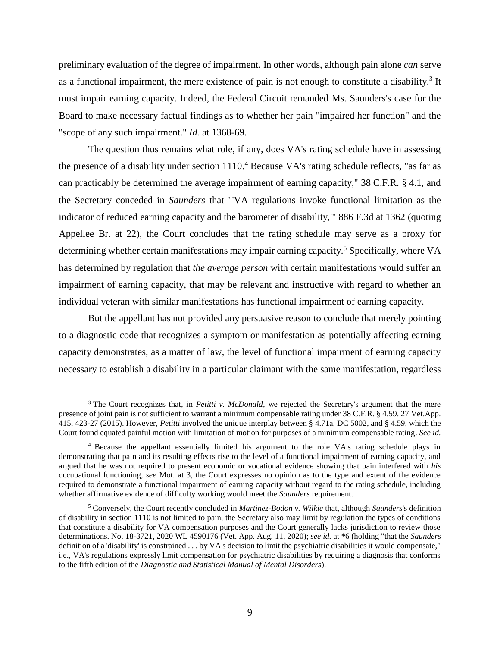preliminary evaluation of the degree of impairment. In other words, although pain alone *can* serve as a functional impairment, the mere existence of pain is not enough to constitute a disability.<sup>3</sup> It must impair earning capacity. Indeed, the Federal Circuit remanded Ms. Saunders's case for the Board to make necessary factual findings as to whether her pain "impaired her function" and the "scope of any such impairment." *Id.* at 1368-69.

The question thus remains what role, if any, does VA's rating schedule have in assessing the presence of a disability under section 1110.<sup>4</sup> Because VA's rating schedule reflects, "as far as can practicably be determined the average impairment of earning capacity," 38 C.F.R. § 4.1, and the Secretary conceded in *Saunders* that "'VA regulations invoke functional limitation as the indicator of reduced earning capacity and the barometer of disability,'" 886 F.3d at 1362 (quoting Appellee Br. at 22), the Court concludes that the rating schedule may serve as a proxy for determining whether certain manifestations may impair earning capacity.<sup>5</sup> Specifically, where VA has determined by regulation that *the average person* with certain manifestations would suffer an impairment of earning capacity, that may be relevant and instructive with regard to whether an individual veteran with similar manifestations has functional impairment of earning capacity.

But the appellant has not provided any persuasive reason to conclude that merely pointing to a diagnostic code that recognizes a symptom or manifestation as potentially affecting earning capacity demonstrates, as a matter of law, the level of functional impairment of earning capacity necessary to establish a disability in a particular claimant with the same manifestation, regardless

<sup>3</sup> The Court recognizes that, in *Petitti v. McDonald*, we rejected the Secretary's argument that the mere presence of joint pain is not sufficient to warrant a minimum compensable rating under 38 C.F.R. § 4.59. 27 Vet.App. 415, 423-27 (2015). However, *Petitti* involved the unique interplay between § 4.71a, DC 5002, and § 4.59, which the Court found equated painful motion with limitation of motion for purposes of a minimum compensable rating. *See id.*

<sup>4</sup> Because the appellant essentially limited his argument to the role VA's rating schedule plays in demonstrating that pain and its resulting effects rise to the level of a functional impairment of earning capacity, and argued that he was not required to present economic or vocational evidence showing that pain interfered with *his* occupational functioning, *see* Mot. at 3, the Court expresses no opinion as to the type and extent of the evidence required to demonstrate a functional impairment of earning capacity without regard to the rating schedule, including whether affirmative evidence of difficulty working would meet the *Saunders* requirement.

<sup>5</sup> Conversely, the Court recently concluded in *Martinez-Bodon v. Wilkie* that, although *Saunders*'s definition of disability in section 1110 is not limited to pain, the Secretary also may limit by regulation the types of conditions that constitute a disability for VA compensation purposes and the Court generally lacks jurisdiction to review those determinations. No. 18-3721, 2020 WL 4590176 (Vet. App. Aug. 11, 2020); *see id.* at \*6 (holding "that the *Saunders* definition of a 'disability' is constrained . . . by VA's decision to limit the psychiatric disabilities it would compensate," i.e., VA's regulations expressly limit compensation for psychiatric disabilities by requiring a diagnosis that conforms to the fifth edition of the *Diagnostic and Statistical Manual of Mental Disorders*).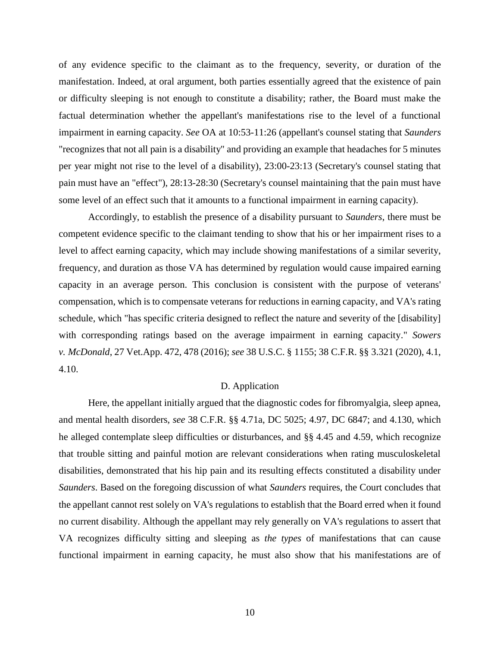of any evidence specific to the claimant as to the frequency, severity, or duration of the manifestation. Indeed, at oral argument, both parties essentially agreed that the existence of pain or difficulty sleeping is not enough to constitute a disability; rather, the Board must make the factual determination whether the appellant's manifestations rise to the level of a functional impairment in earning capacity. *See* OA at 10:53-11:26 (appellant's counsel stating that *Saunders*  "recognizes that not all pain is a disability" and providing an example that headaches for 5 minutes per year might not rise to the level of a disability), 23:00-23:13 (Secretary's counsel stating that pain must have an "effect"), 28:13-28:30 (Secretary's counsel maintaining that the pain must have some level of an effect such that it amounts to a functional impairment in earning capacity).

Accordingly, to establish the presence of a disability pursuant to *Saunders*, there must be competent evidence specific to the claimant tending to show that his or her impairment rises to a level to affect earning capacity, which may include showing manifestations of a similar severity, frequency, and duration as those VA has determined by regulation would cause impaired earning capacity in an average person. This conclusion is consistent with the purpose of veterans' compensation, which is to compensate veterans for reductions in earning capacity, and VA's rating schedule, which "has specific criteria designed to reflect the nature and severity of the [disability] with corresponding ratings based on the average impairment in earning capacity." *Sowers v. McDonald*, 27 Vet.App. 472, 478 (2016); *see* 38 U.S.C. § 1155; 38 C.F.R. §§ 3.321 (2020), 4.1, 4.10.

## D. Application

Here, the appellant initially argued that the diagnostic codes for fibromyalgia, sleep apnea, and mental health disorders, *see* 38 C.F.R. §§ 4.71a, DC 5025; 4.97, DC 6847; and 4.130, which he alleged contemplate sleep difficulties or disturbances, and §§ 4.45 and 4.59, which recognize that trouble sitting and painful motion are relevant considerations when rating musculoskeletal disabilities, demonstrated that his hip pain and its resulting effects constituted a disability under *Saunders*. Based on the foregoing discussion of what *Saunders* requires, the Court concludes that the appellant cannot rest solely on VA's regulations to establish that the Board erred when it found no current disability. Although the appellant may rely generally on VA's regulations to assert that VA recognizes difficulty sitting and sleeping as *the types* of manifestations that can cause functional impairment in earning capacity, he must also show that his manifestations are of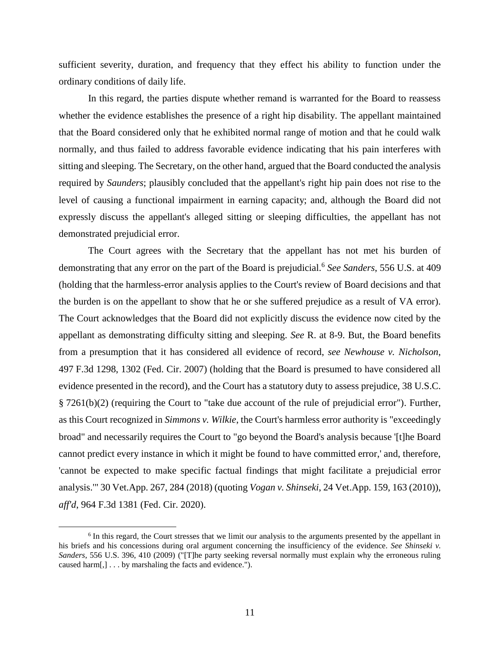sufficient severity, duration, and frequency that they effect his ability to function under the ordinary conditions of daily life.

In this regard, the parties dispute whether remand is warranted for the Board to reassess whether the evidence establishes the presence of a right hip disability. The appellant maintained that the Board considered only that he exhibited normal range of motion and that he could walk normally, and thus failed to address favorable evidence indicating that his pain interferes with sitting and sleeping. The Secretary, on the other hand, argued that the Board conducted the analysis required by *Saunders*; plausibly concluded that the appellant's right hip pain does not rise to the level of causing a functional impairment in earning capacity; and, although the Board did not expressly discuss the appellant's alleged sitting or sleeping difficulties, the appellant has not demonstrated prejudicial error.

The Court agrees with the Secretary that the appellant has not met his burden of demonstrating that any error on the part of the Board is prejudicial.<sup>6</sup> *See Sanders*, 556 U.S. at 409 (holding that the harmless-error analysis applies to the Court's review of Board decisions and that the burden is on the appellant to show that he or she suffered prejudice as a result of VA error). The Court acknowledges that the Board did not explicitly discuss the evidence now cited by the appellant as demonstrating difficulty sitting and sleeping. *See* R. at 8-9. But, the Board benefits from a presumption that it has considered all evidence of record, *see Newhouse v. Nicholson*, 497 F.3d 1298, 1302 (Fed. Cir. 2007) (holding that the Board is presumed to have considered all evidence presented in the record), and the Court has a statutory duty to assess prejudice, 38 U.S.C. § 7261(b)(2) (requiring the Court to "take due account of the rule of prejudicial error"). Further, as this Court recognized in *Simmons v. Wilkie*, the Court's harmless error authority is "exceedingly broad" and necessarily requires the Court to "go beyond the Board's analysis because '[t]he Board cannot predict every instance in which it might be found to have committed error,' and, therefore, 'cannot be expected to make specific factual findings that might facilitate a prejudicial error analysis.'" 30 Vet.App. 267, 284 (2018) (quoting *Vogan v. Shinseki*, 24 Vet.App. 159, 163 (2010)), *aff'd*, 964 F.3d 1381 (Fed. Cir. 2020).

<sup>&</sup>lt;sup>6</sup> In this regard, the Court stresses that we limit our analysis to the arguments presented by the appellant in his briefs and his concessions during oral argument concerning the insufficiency of the evidence. *See Shinseki v. Sanders*, 556 U.S. 396, 410 (2009) ("[T]he party seeking reversal normally must explain why the erroneous ruling caused harm[,] . . . by marshaling the facts and evidence.").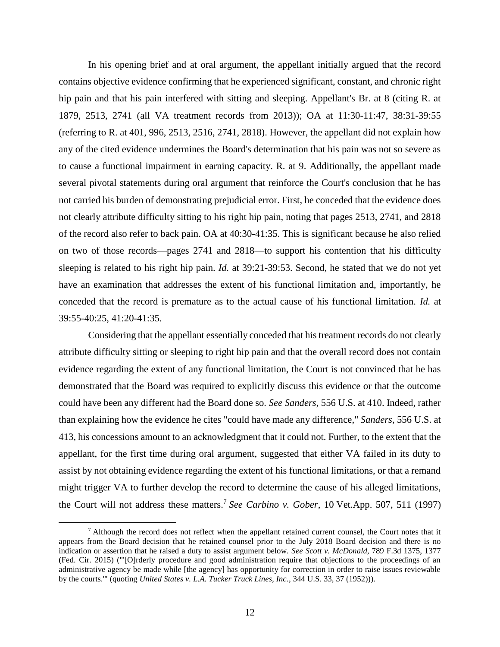In his opening brief and at oral argument, the appellant initially argued that the record contains objective evidence confirming that he experienced significant, constant, and chronic right hip pain and that his pain interfered with sitting and sleeping. Appellant's Br. at 8 (citing R. at 1879, 2513, 2741 (all VA treatment records from 2013)); OA at 11:30-11:47, 38:31-39:55 (referring to R. at 401, 996, 2513, 2516, 2741, 2818). However, the appellant did not explain how any of the cited evidence undermines the Board's determination that his pain was not so severe as to cause a functional impairment in earning capacity. R. at 9. Additionally, the appellant made several pivotal statements during oral argument that reinforce the Court's conclusion that he has not carried his burden of demonstrating prejudicial error. First, he conceded that the evidence does not clearly attribute difficulty sitting to his right hip pain, noting that pages 2513, 2741, and 2818 of the record also refer to back pain. OA at 40:30-41:35. This is significant because he also relied on two of those records—pages 2741 and 2818—to support his contention that his difficulty sleeping is related to his right hip pain. *Id.* at 39:21-39:53. Second, he stated that we do not yet have an examination that addresses the extent of his functional limitation and, importantly, he conceded that the record is premature as to the actual cause of his functional limitation. *Id.* at 39:55-40:25, 41:20-41:35.

Considering that the appellant essentially conceded that his treatment records do not clearly attribute difficulty sitting or sleeping to right hip pain and that the overall record does not contain evidence regarding the extent of any functional limitation, the Court is not convinced that he has demonstrated that the Board was required to explicitly discuss this evidence or that the outcome could have been any different had the Board done so. *See Sanders*, 556 U.S. at 410. Indeed, rather than explaining how the evidence he cites "could have made any difference," *Sanders*, 556 U.S. at 413, his concessions amount to an acknowledgment that it could not. Further, to the extent that the appellant, for the first time during oral argument, suggested that either VA failed in its duty to assist by not obtaining evidence regarding the extent of his functional limitations, or that a remand might trigger VA to further develop the record to determine the cause of his alleged limitations, the Court will not address these matters. 7 *See Carbino v. Gober*, 10 Vet.App. 507, 511 (1997)

<sup>&</sup>lt;sup>7</sup> Although the record does not reflect when the appellant retained current counsel, the Court notes that it appears from the Board decision that he retained counsel prior to the July 2018 Board decision and there is no indication or assertion that he raised a duty to assist argument below. *See Scott v. McDonald*, 789 F.3d 1375, 1377 (Fed. Cir. 2015) ("'[O]rderly procedure and good administration require that objections to the proceedings of an administrative agency be made while [the agency] has opportunity for correction in order to raise issues reviewable by the courts.'" (quoting *United States v. L.A. Tucker Truck Lines, Inc.*, 344 U.S. 33, 37 (1952))).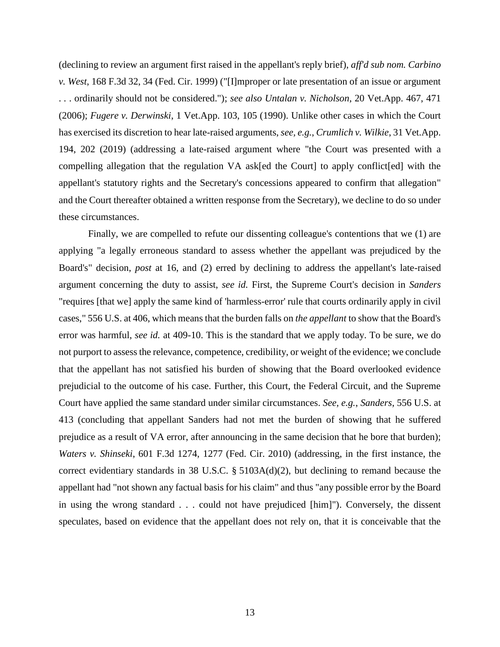(declining to review an argument first raised in the appellant's reply brief), *aff'd sub nom. Carbino v. West*, 168 F.3d 32, 34 (Fed. Cir. 1999) ("[I]mproper or late presentation of an issue or argument . . . ordinarily should not be considered."); *see also Untalan v. Nicholson*, 20 Vet.App. 467, 471 (2006); *Fugere v. Derwinski*, 1 Vet.App. 103, 105 (1990). Unlike other cases in which the Court has exercised its discretion to hear late-raised arguments, *see, e.g.*, *Crumlich v. Wilkie*, 31 Vet.App. 194, 202 (2019) (addressing a late-raised argument where "the Court was presented with a compelling allegation that the regulation VA ask[ed the Court] to apply conflict[ed] with the appellant's statutory rights and the Secretary's concessions appeared to confirm that allegation" and the Court thereafter obtained a written response from the Secretary), we decline to do so under these circumstances.

Finally, we are compelled to refute our dissenting colleague's contentions that we (1) are applying "a legally erroneous standard to assess whether the appellant was prejudiced by the Board's" decision, *post* at 16, and (2) erred by declining to address the appellant's late-raised argument concerning the duty to assist, *see id.* First, the Supreme Court's decision in *Sanders*  "requires [that we] apply the same kind of 'harmless-error' rule that courts ordinarily apply in civil cases," 556 U.S. at 406, which means that the burden falls on *the appellant* to show that the Board's error was harmful, *see id.* at 409-10. This is the standard that we apply today. To be sure, we do not purport to assess the relevance, competence, credibility, or weight of the evidence; we conclude that the appellant has not satisfied his burden of showing that the Board overlooked evidence prejudicial to the outcome of his case. Further, this Court, the Federal Circuit, and the Supreme Court have applied the same standard under similar circumstances. *See, e.g.*, *Sanders*, 556 U.S. at 413 (concluding that appellant Sanders had not met the burden of showing that he suffered prejudice as a result of VA error, after announcing in the same decision that he bore that burden); *Waters v. Shinseki*, 601 F.3d 1274, 1277 (Fed. Cir. 2010) (addressing, in the first instance, the correct evidentiary standards in 38 U.S.C. § 5103A(d)(2), but declining to remand because the appellant had "not shown any factual basis for his claim" and thus "any possible error by the Board in using the wrong standard . . . could not have prejudiced [him]"). Conversely, the dissent speculates, based on evidence that the appellant does not rely on, that it is conceivable that the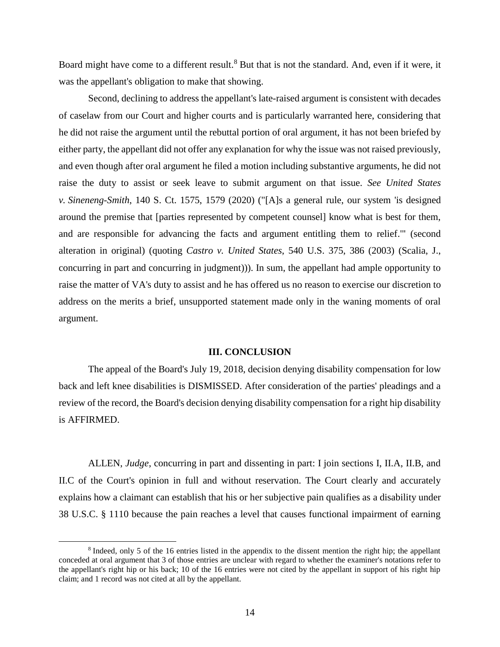Board might have come to a different result.<sup>8</sup> But that is not the standard. And, even if it were, it was the appellant's obligation to make that showing.

Second, declining to address the appellant's late-raised argument is consistent with decades of caselaw from our Court and higher courts and is particularly warranted here, considering that he did not raise the argument until the rebuttal portion of oral argument, it has not been briefed by either party, the appellant did not offer any explanation for why the issue was not raised previously, and even though after oral argument he filed a motion including substantive arguments, he did not raise the duty to assist or seek leave to submit argument on that issue. *See United States v. Sineneng-Smith*, 140 S. Ct. 1575, 1579 (2020) ("[A]s a general rule, our system 'is designed around the premise that [parties represented by competent counsel] know what is best for them, and are responsible for advancing the facts and argument entitling them to relief.'" (second alteration in original) (quoting *Castro v. United States*, 540 U.S. 375, 386 (2003) (Scalia, J., concurring in part and concurring in judgment))). In sum, the appellant had ample opportunity to raise the matter of VA's duty to assist and he has offered us no reason to exercise our discretion to address on the merits a brief, unsupported statement made only in the waning moments of oral argument.

### **III. CONCLUSION**

The appeal of the Board's July 19, 2018, decision denying disability compensation for low back and left knee disabilities is DISMISSED. After consideration of the parties' pleadings and a review of the record, the Board's decision denying disability compensation for a right hip disability is AFFIRMED.

ALLEN, *Judge*, concurring in part and dissenting in part: I join sections I, II.A, II.B, and II.C of the Court's opinion in full and without reservation. The Court clearly and accurately explains how a claimant can establish that his or her subjective pain qualifies as a disability under 38 U.S.C. § 1110 because the pain reaches a level that causes functional impairment of earning

<sup>&</sup>lt;sup>8</sup> Indeed, only 5 of the 16 entries listed in the appendix to the dissent mention the right hip; the appellant conceded at oral argument that 3 of those entries are unclear with regard to whether the examiner's notations refer to the appellant's right hip or his back; 10 of the 16 entries were not cited by the appellant in support of his right hip claim; and 1 record was not cited at all by the appellant.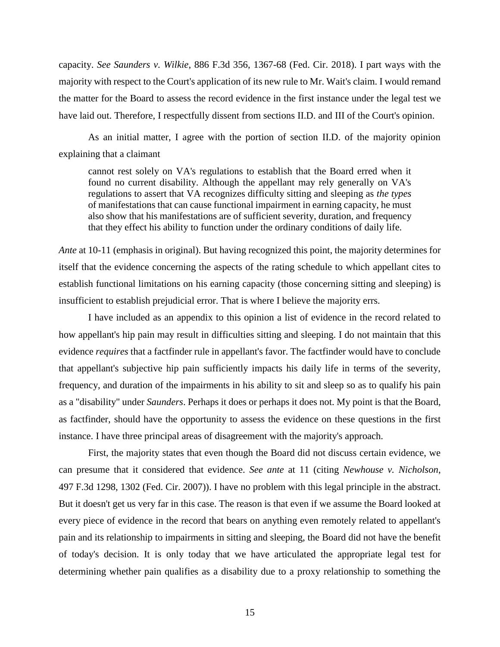capacity. *See Saunders v. Wilkie*, 886 F.3d 356, 1367-68 (Fed. Cir. 2018). I part ways with the majority with respect to the Court's application of its new rule to Mr. Wait's claim. I would remand the matter for the Board to assess the record evidence in the first instance under the legal test we have laid out. Therefore, I respectfully dissent from sections II.D. and III of the Court's opinion.

As an initial matter, I agree with the portion of section II.D. of the majority opinion explaining that a claimant

cannot rest solely on VA's regulations to establish that the Board erred when it found no current disability. Although the appellant may rely generally on VA's regulations to assert that VA recognizes difficulty sitting and sleeping as *the types* of manifestations that can cause functional impairment in earning capacity, he must also show that his manifestations are of sufficient severity, duration, and frequency that they effect his ability to function under the ordinary conditions of daily life.

*Ante* at 10-11 (emphasis in original). But having recognized this point, the majority determines for itself that the evidence concerning the aspects of the rating schedule to which appellant cites to establish functional limitations on his earning capacity (those concerning sitting and sleeping) is insufficient to establish prejudicial error. That is where I believe the majority errs.

I have included as an appendix to this opinion a list of evidence in the record related to how appellant's hip pain may result in difficulties sitting and sleeping. I do not maintain that this evidence *requires* that a factfinder rule in appellant's favor. The factfinder would have to conclude that appellant's subjective hip pain sufficiently impacts his daily life in terms of the severity, frequency, and duration of the impairments in his ability to sit and sleep so as to qualify his pain as a "disability" under *Saunders*. Perhaps it does or perhaps it does not. My point is that the Board, as factfinder, should have the opportunity to assess the evidence on these questions in the first instance. I have three principal areas of disagreement with the majority's approach.

First, the majority states that even though the Board did not discuss certain evidence, we can presume that it considered that evidence. *See ante* at 11 (citing *Newhouse v. Nicholson*, 497 F.3d 1298, 1302 (Fed. Cir. 2007)). I have no problem with this legal principle in the abstract. But it doesn't get us very far in this case. The reason is that even if we assume the Board looked at every piece of evidence in the record that bears on anything even remotely related to appellant's pain and its relationship to impairments in sitting and sleeping, the Board did not have the benefit of today's decision. It is only today that we have articulated the appropriate legal test for determining whether pain qualifies as a disability due to a proxy relationship to something the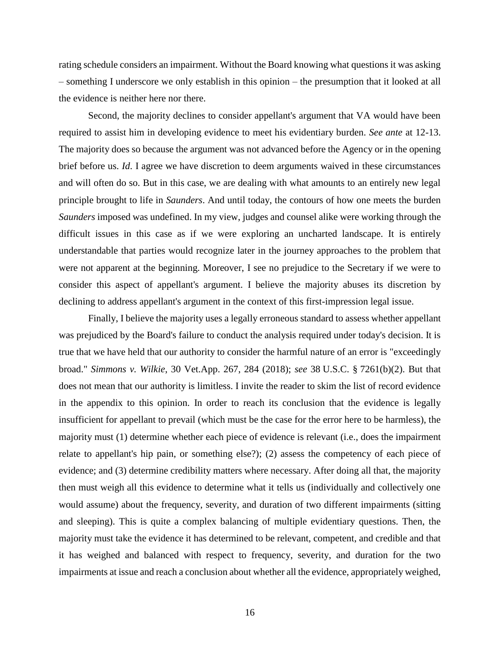rating schedule considers an impairment. Without the Board knowing what questions it was asking – something I underscore we only establish in this opinion – the presumption that it looked at all the evidence is neither here nor there.

Second, the majority declines to consider appellant's argument that VA would have been required to assist him in developing evidence to meet his evidentiary burden. *See ante* at 12-13. The majority does so because the argument was not advanced before the Agency or in the opening brief before us. *Id*. I agree we have discretion to deem arguments waived in these circumstances and will often do so. But in this case, we are dealing with what amounts to an entirely new legal principle brought to life in *Saunders*. And until today, the contours of how one meets the burden *Saunders* imposed was undefined. In my view, judges and counsel alike were working through the difficult issues in this case as if we were exploring an uncharted landscape. It is entirely understandable that parties would recognize later in the journey approaches to the problem that were not apparent at the beginning. Moreover, I see no prejudice to the Secretary if we were to consider this aspect of appellant's argument. I believe the majority abuses its discretion by declining to address appellant's argument in the context of this first-impression legal issue.

Finally, I believe the majority uses a legally erroneous standard to assess whether appellant was prejudiced by the Board's failure to conduct the analysis required under today's decision. It is true that we have held that our authority to consider the harmful nature of an error is "exceedingly broad." *Simmons v. Wilkie*, 30 Vet.App. 267, 284 (2018); *see* 38 U.S.C. § 7261(b)(2). But that does not mean that our authority is limitless. I invite the reader to skim the list of record evidence in the appendix to this opinion. In order to reach its conclusion that the evidence is legally insufficient for appellant to prevail (which must be the case for the error here to be harmless), the majority must (1) determine whether each piece of evidence is relevant (i.e., does the impairment relate to appellant's hip pain, or something else?); (2) assess the competency of each piece of evidence; and (3) determine credibility matters where necessary. After doing all that, the majority then must weigh all this evidence to determine what it tells us (individually and collectively one would assume) about the frequency, severity, and duration of two different impairments (sitting and sleeping). This is quite a complex balancing of multiple evidentiary questions. Then, the majority must take the evidence it has determined to be relevant, competent, and credible and that it has weighed and balanced with respect to frequency, severity, and duration for the two impairments at issue and reach a conclusion about whether all the evidence, appropriately weighed,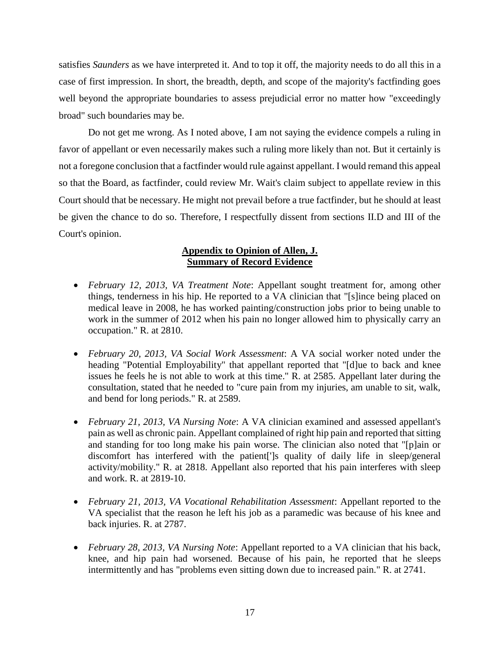satisfies *Saunders* as we have interpreted it. And to top it off, the majority needs to do all this in a case of first impression. In short, the breadth, depth, and scope of the majority's factfinding goes well beyond the appropriate boundaries to assess prejudicial error no matter how "exceedingly broad" such boundaries may be.

Do not get me wrong. As I noted above, I am not saying the evidence compels a ruling in favor of appellant or even necessarily makes such a ruling more likely than not. But it certainly is not a foregone conclusion that a factfinder would rule against appellant. I would remand this appeal so that the Board, as factfinder, could review Mr. Wait's claim subject to appellate review in this Court should that be necessary. He might not prevail before a true factfinder, but he should at least be given the chance to do so. Therefore, I respectfully dissent from sections II.D and III of the Court's opinion.

# **Appendix to Opinion of Allen, J. Summary of Record Evidence**

- *February 12, 2013, VA Treatment Note*: Appellant sought treatment for, among other things, tenderness in his hip. He reported to a VA clinician that "[s]ince being placed on medical leave in 2008, he has worked painting/construction jobs prior to being unable to work in the summer of 2012 when his pain no longer allowed him to physically carry an occupation." R. at 2810.
- *February 20, 2013, VA Social Work Assessment*: A VA social worker noted under the heading "Potential Employability" that appellant reported that "[d]ue to back and knee issues he feels he is not able to work at this time." R. at 2585. Appellant later during the consultation, stated that he needed to "cure pain from my injuries, am unable to sit, walk, and bend for long periods." R. at 2589.
- *February 21, 2013, VA Nursing Note*: A VA clinician examined and assessed appellant's pain as well as chronic pain. Appellant complained of right hip pain and reported that sitting and standing for too long make his pain worse. The clinician also noted that "[p]ain or discomfort has interfered with the patient[']s quality of daily life in sleep/general activity/mobility." R. at 2818. Appellant also reported that his pain interferes with sleep and work. R. at 2819-10.
- *February 21, 2013, VA Vocational Rehabilitation Assessment*: Appellant reported to the VA specialist that the reason he left his job as a paramedic was because of his knee and back injuries. R. at 2787.
- *February 28, 2013, VA Nursing Note*: Appellant reported to a VA clinician that his back, knee, and hip pain had worsened. Because of his pain, he reported that he sleeps intermittently and has "problems even sitting down due to increased pain." R. at 2741.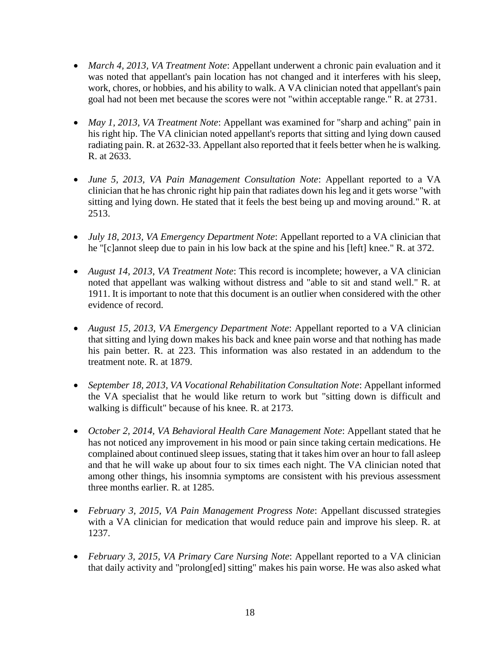- *March 4, 2013, VA Treatment Note*: Appellant underwent a chronic pain evaluation and it was noted that appellant's pain location has not changed and it interferes with his sleep, work, chores, or hobbies, and his ability to walk. A VA clinician noted that appellant's pain goal had not been met because the scores were not "within acceptable range." R. at 2731.
- *May 1, 2013, VA Treatment Note*: Appellant was examined for "sharp and aching" pain in his right hip. The VA clinician noted appellant's reports that sitting and lying down caused radiating pain. R. at 2632-33. Appellant also reported that it feels better when he is walking. R. at 2633.
- *June 5, 2013, VA Pain Management Consultation Note*: Appellant reported to a VA clinician that he has chronic right hip pain that radiates down his leg and it gets worse "with sitting and lying down. He stated that it feels the best being up and moving around." R. at 2513.
- *July 18, 2013, VA Emergency Department Note*: Appellant reported to a VA clinician that he "[c]annot sleep due to pain in his low back at the spine and his [left] knee." R. at 372.
- *August 14, 2013*, *VA Treatment Note*: This record is incomplete; however, a VA clinician noted that appellant was walking without distress and "able to sit and stand well." R. at 1911. It is important to note that this document is an outlier when considered with the other evidence of record.
- *August 15, 2013, VA Emergency Department Note*: Appellant reported to a VA clinician that sitting and lying down makes his back and knee pain worse and that nothing has made his pain better. R. at 223. This information was also restated in an addendum to the treatment note. R. at 1879.
- *September 18, 2013, VA Vocational Rehabilitation Consultation Note*: Appellant informed the VA specialist that he would like return to work but "sitting down is difficult and walking is difficult" because of his knee. R. at 2173.
- *October 2, 2014, VA Behavioral Health Care Management Note*: Appellant stated that he has not noticed any improvement in his mood or pain since taking certain medications. He complained about continued sleep issues, stating that it takes him over an hour to fall asleep and that he will wake up about four to six times each night. The VA clinician noted that among other things, his insomnia symptoms are consistent with his previous assessment three months earlier. R. at 1285.
- *February 3, 2015, VA Pain Management Progress Note*: Appellant discussed strategies with a VA clinician for medication that would reduce pain and improve his sleep. R. at 1237.
- *February 3, 2015, VA Primary Care Nursing Note*: Appellant reported to a VA clinician that daily activity and "prolong[ed] sitting" makes his pain worse. He was also asked what